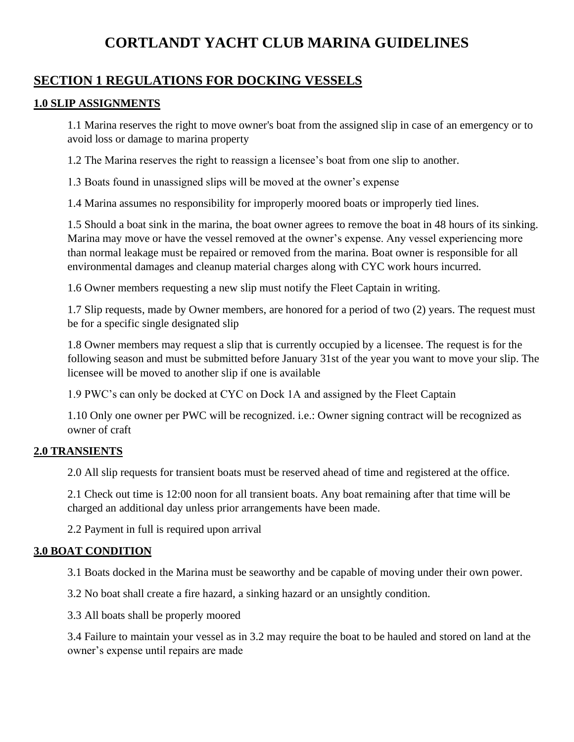# **CORTLANDT YACHT CLUB MARINA GUIDELINES**

# **SECTION 1 REGULATIONS FOR DOCKING VESSELS**

#### **1.0 SLIP ASSIGNMENTS**

1.1 Marina reserves the right to move owner's boat from the assigned slip in case of an emergency or to avoid loss or damage to marina property

1.2 The Marina reserves the right to reassign a licensee's boat from one slip to another.

1.3 Boats found in unassigned slips will be moved at the owner's expense

1.4 Marina assumes no responsibility for improperly moored boats or improperly tied lines.

1.5 Should a boat sink in the marina, the boat owner agrees to remove the boat in 48 hours of its sinking. Marina may move or have the vessel removed at the owner's expense. Any vessel experiencing more than normal leakage must be repaired or removed from the marina. Boat owner is responsible for all environmental damages and cleanup material charges along with CYC work hours incurred.

1.6 Owner members requesting a new slip must notify the Fleet Captain in writing.

1.7 Slip requests, made by Owner members, are honored for a period of two (2) years. The request must be for a specific single designated slip

1.8 Owner members may request a slip that is currently occupied by a licensee. The request is for the following season and must be submitted before January 31st of the year you want to move your slip. The licensee will be moved to another slip if one is available

1.9 PWC's can only be docked at CYC on Dock 1A and assigned by the Fleet Captain

1.10 Only one owner per PWC will be recognized. i.e.: Owner signing contract will be recognized as owner of craft

#### **2.0 TRANSIENTS**

2.0 All slip requests for transient boats must be reserved ahead of time and registered at the office.

2.1 Check out time is 12:00 noon for all transient boats. Any boat remaining after that time will be charged an additional day unless prior arrangements have been made.

2.2 Payment in full is required upon arrival

#### **3.0 BOAT CONDITION**

3.1 Boats docked in the Marina must be seaworthy and be capable of moving under their own power.

3.2 No boat shall create a fire hazard, a sinking hazard or an unsightly condition.

3.3 All boats shall be properly moored

3.4 Failure to maintain your vessel as in 3.2 may require the boat to be hauled and stored on land at the owner's expense until repairs are made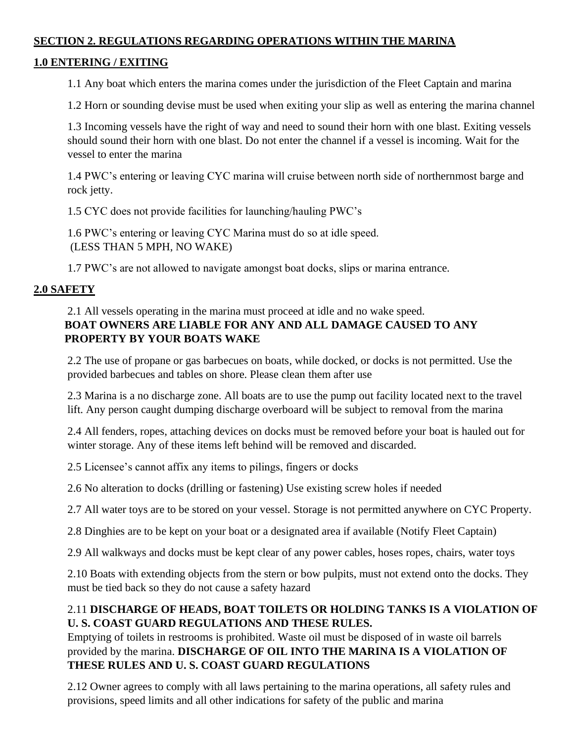#### **SECTION 2. REGULATIONS REGARDING OPERATIONS WITHIN THE MARINA**

## **1.0 ENTERING / EXITING**

1.1 Any boat which enters the marina comes under the jurisdiction of the Fleet Captain and marina

1.2 Horn or sounding devise must be used when exiting your slip as well as entering the marina channel

1.3 Incoming vessels have the right of way and need to sound their horn with one blast. Exiting vessels should sound their horn with one blast. Do not enter the channel if a vessel is incoming. Wait for the vessel to enter the marina

1.4 PWC's entering or leaving CYC marina will cruise between north side of northernmost barge and rock jetty.

1.5 CYC does not provide facilities for launching/hauling PWC's

1.6 PWC's entering or leaving CYC Marina must do so at idle speed. (LESS THAN 5 MPH, NO WAKE)

1.7 PWC's are not allowed to navigate amongst boat docks, slips or marina entrance.

## **2.0 SAFETY**

## 2.1 All vessels operating in the marina must proceed at idle and no wake speed. **BOAT OWNERS ARE LIABLE FOR ANY AND ALL DAMAGE CAUSED TO ANY PROPERTY BY YOUR BOATS WAKE**

2.2 The use of propane or gas barbecues on boats, while docked, or docks is not permitted. Use the provided barbecues and tables on shore. Please clean them after use

2.3 Marina is a no discharge zone. All boats are to use the pump out facility located next to the travel lift. Any person caught dumping discharge overboard will be subject to removal from the marina

2.4 All fenders, ropes, attaching devices on docks must be removed before your boat is hauled out for winter storage. Any of these items left behind will be removed and discarded.

2.5 Licensee's cannot affix any items to pilings, fingers or docks

2.6 No alteration to docks (drilling or fastening) Use existing screw holes if needed

2.7 All water toys are to be stored on your vessel. Storage is not permitted anywhere on CYC Property.

2.8 Dinghies are to be kept on your boat or a designated area if available (Notify Fleet Captain)

2.9 All walkways and docks must be kept clear of any power cables, hoses ropes, chairs, water toys

2.10 Boats with extending objects from the stern or bow pulpits, must not extend onto the docks. They must be tied back so they do not cause a safety hazard

## 2.11 **DISCHARGE OF HEADS, BOAT TOILETS OR HOLDING TANKS IS A VIOLATION OF U. S. COAST GUARD REGULATIONS AND THESE RULES.**

Emptying of toilets in restrooms is prohibited. Waste oil must be disposed of in waste oil barrels provided by the marina. **DISCHARGE OF OIL INTO THE MARINA IS A VIOLATION OF THESE RULES AND U. S. COAST GUARD REGULATIONS**

2.12 Owner agrees to comply with all laws pertaining to the marina operations, all safety rules and provisions, speed limits and all other indications for safety of the public and marina